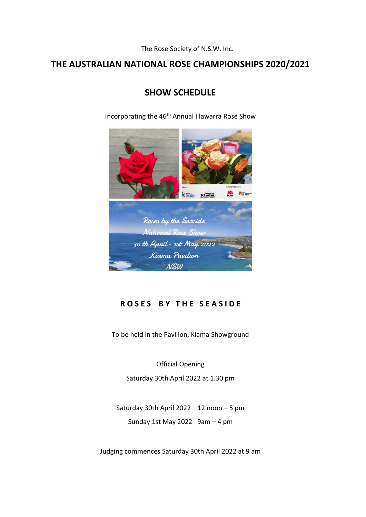The Rose Society of N.S.W. Inc.

# **THE AUSTRALIAN NATIONAL ROSE CHAMPIONSHIPS 2020/2021**

# **SHOW SCHEDULE**

Incorporating the 46<sup>th</sup> Annual Illawarra Rose Show



# **R O S E S B Y T H E S E A S I D E**

To be held in the Pavilion, Kiama Showground

Official Opening Saturday 30th April 2022 at 1.30 pm

Saturday 30th April 2022 12 noon – 5 pm Sunday 1st May 2022  $9am - 4 pm$ 

Judging commences Saturday 30th April 2022 at 9 am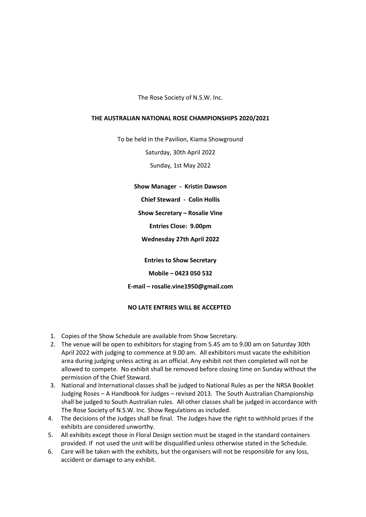The Rose Society of N.S.W. Inc.

# **THE AUSTRALIAN NATIONAL ROSE CHAMPIONSHIPS 2020/2021**

To be held in the Pavilion, Kiama Showground

Saturday, 30th April 2022

Sunday, 1st May 2022

**Show Manager - Kristin Dawson**

**Chief Steward - Colin Hollis**

**Show Secretary – Rosalie Vine**

**Entries Close: 9.00pm**

**Wednesday 27th April 2022**

**Entries to Show Secretary**

**Mobile – 0423 050 532**

**E-mail – rosalie.vine1950@gmail.com**

# **NO LATE ENTRIES WILL BE ACCEPTED**

- 1. Copies of the Show Schedule are available from Show Secretary.
- 2. The venue will be open to exhibitors for staging from 5.45 am to 9.00 am on Saturday 30th April 2022 with judging to commence at 9.00 am. All exhibitors must vacate the exhibition area during judging unless acting as an official. Any exhibit not then completed will not be allowed to compete. No exhibit shall be removed before closing time on Sunday without the permission of the Chief Steward.
- 3. National and International classes shall be judged to National Rules as per the NRSA Booklet Judging Roses – A Handbook for Judges – revised 2013. The South Australian Championship shall be judged to South Australian rules. All other classes shall be judged in accordance with The Rose Society of N.S.W. Inc. Show Regulations as included.
- 4. The decisions of the Judges shall be final. The Judges have the right to withhold prizes if the exhibits are considered unworthy.
- 5. All exhibits except those in Floral Design section must be staged in the standard containers provided. If not used the unit will be disqualified unless otherwise stated in the Schedule.
- 6. Care will be taken with the exhibits, but the organisers will not be responsible for any loss, accident or damage to any exhibit.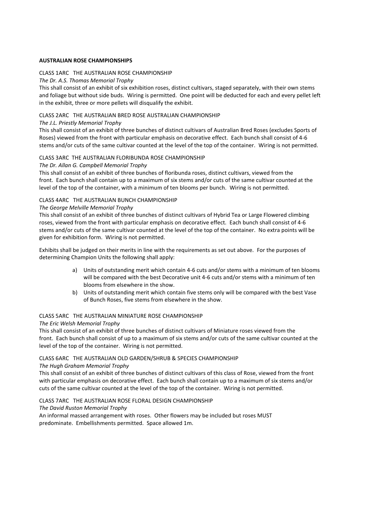# **AUSTRALIAN ROSE CHAMPIONSHIPS**

# CLASS 1ARC THE AUSTRALIAN ROSE CHAMPIONSHIP

# *The Dr. A.S. Thomas Memorial Trophy*

This shall consist of an exhibit of six exhibition roses, distinct cultivars, staged separately, with their own stems and foliage but without side buds. Wiring is permitted. One point will be deducted for each and every pellet left in the exhibit, three or more pellets will disqualify the exhibit.

# CLASS 2ARC THE AUSTRALIAN BRED ROSE AUSTRALIAN CHAMPIONSHIP

# *The J.L. Priestly Memorial Trophy*

This shall consist of an exhibit of three bunches of distinct cultivars of Australian Bred Roses (excludes Sports of Roses) viewed from the front with particular emphasis on decorative effect. Each bunch shall consist of 4-6 stems and/or cuts of the same cultivar counted at the level of the top of the container. Wiring is not permitted.

# CLASS 3ARC THE AUSTRALIAN FLORIBUNDA ROSE CHAMPIONSHIP

# *The Dr. Allan G. Campbell Memorial Trophy*

This shall consist of an exhibit of three bunches of floribunda roses, distinct cultivars, viewed from the front. Each bunch shall contain up to a maximum of six stems and/or cuts of the same cultivar counted at the level of the top of the container, with a minimum of ten blooms per bunch. Wiring is not permitted.

# CLASS 4ARC THE AUSTRALIAN BUNCH CHAMPIONSHIP

# *The George Melville Memorial Trophy*

This shall consist of an exhibit of three bunches of distinct cultivars of Hybrid Tea or Large Flowered climbing roses, viewed from the front with particular emphasis on decorative effect. Each bunch shall consist of 4-6 stems and/or cuts of the same cultivar counted at the level of the top of the container. No extra points will be given for exhibition form. Wiring is not permitted.

Exhibits shall be judged on their merits in line with the requirements as set out above. For the purposes of determining Champion Units the following shall apply:

- a) Units of outstanding merit which contain 4-6 cuts and/or stems with a minimum of ten blooms will be compared with the best Decorative unit 4-6 cuts and/or stems with a minimum of ten blooms from elsewhere in the show.
- b) Units of outstanding merit which contain five stems only will be compared with the best Vase of Bunch Roses, five stems from elsewhere in the show.

# CLASS 5ARC THE AUSTRALIAN MINIATURE ROSE CHAMPIONSHIP

# *The Eric Welsh Memorial Trophy*

This shall consist of an exhibit of three bunches of distinct cultivars of Miniature roses viewed from the front. Each bunch shall consist of up to a maximum of six stems and/or cuts of the same cultivar counted at the level of the top of the container. Wiring is not permitted.

# CLASS 6ARC THE AUSTRALIAN OLD GARDEN/SHRUB & SPECIES CHAMPIONSHIP

# *The Hugh Graham Memorial Trophy*

This shall consist of an exhibit of three bunches of distinct cultivars of this class of Rose, viewed from the front with particular emphasis on decorative effect. Each bunch shall contain up to a maximum of six stems and/or cuts of the same cultivar counted at the level of the top of the container. Wiring is not permitted.

CLASS 7ARC THE AUSTRALIAN ROSE FLORAL DESIGN CHAMPIONSHIP

*The David Ruston Memorial Trophy*

An informal massed arrangement with roses. Other flowers may be included but roses MUST predominate. Embellishments permitted. Space allowed 1m.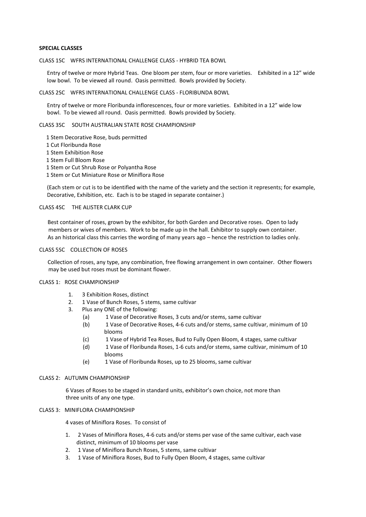## **SPECIAL CLASSES**

#### CLASS 1SC WFRS INTERNATIONAL CHALLENGE CLASS - HYBRID TEA BOWL

Entry of twelve or more Hybrid Teas. One bloom per stem, four or more varieties. Exhibited in a 12" wide low bowl. To be viewed all round. Oasis permitted. Bowls provided by Society.

#### CLASS 2SC WFRS INTERNATIONAL CHALLENGE CLASS - FLORIBUNDA BOWL

Entry of twelve or more Floribunda inflorescences, four or more varieties. Exhibited in a 12" wide low bowl. To be viewed all round. Oasis permitted. Bowls provided by Society.

## CLASS 3SC SOUTH AUSTRALIAN STATE ROSE CHAMPIONSHIP

 1 Stem Decorative Rose, buds permitted 1 Cut Floribunda Rose 1 Stem Exhibition Rose 1 Stem Full Bloom Rose 1 Stem or Cut Shrub Rose or Polyantha Rose

1 Stem or Cut Miniature Rose or Miniflora Rose

(Each stem or cut is to be identified with the name of the variety and the section it represents; for example, Decorative, Exhibition, etc. Each is to be staged in separate container.)

# CLASS 4SC THE ALISTER CLARK CUP

Best container of roses, grown by the exhibitor, for both Garden and Decorative roses. Open to lady members or wives of members. Work to be made up in the hall. Exhibitor to supply own container. As an historical class this carries the wording of many years ago – hence the restriction to ladies only.

#### CLASS 5SC COLLECTION OF ROSES

 Collection of roses, any type, any combination, free flowing arrangement in own container. Other flowers may be used but roses must be dominant flower.

# CLASS 1: ROSE CHAMPIONSHIP

- 1. 3 Exhibition Roses, distinct
- 2. 1 Vase of Bunch Roses, 5 stems, same cultivar
- 3. Plus any ONE of the following:
	- (a) 1 Vase of Decorative Roses, 3 cuts and/or stems, same cultivar
	- (b) 1 Vase of Decorative Roses, 4-6 cuts and/or stems, same cultivar, minimum of 10 \_\_\_\_\_\_\_blooms
	- (c) 1 Vase of Hybrid Tea Roses, Bud to Fully Open Bloom, 4 stages, same cultivar
	- (d) 1 Vase of Floribunda Roses, 1-6 cuts and/or stems, same cultivar, minimum of 10 \_\_\_ blooms
	- (e) 1 Vase of Floribunda Roses, up to 25 blooms, same cultivar

#### CLASS 2: AUTUMN CHAMPIONSHIP

 6 Vases of Roses to be staged in standard units, exhibitor's own choice, not more than three units of any one type.

#### CLASS 3: MINIFLORA CHAMPIONSHIP

4 vases of Miniflora Roses. To consist of

- 1. 2 Vases of Miniflora Roses, 4-6 cuts and/or stems per vase of the same cultivar, each vase distinct, minimum of 10 blooms per vase
- 2. 1 Vase of Miniflora Bunch Roses, 5 stems, same cultivar
- 3. 1 Vase of Miniflora Roses, Bud to Fully Open Bloom, 4 stages, same cultivar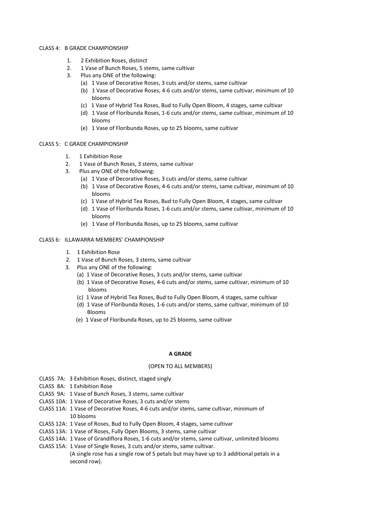#### CLASS 4: B GRADE CHAMPIONSHIP

- 1. 2 Exhibition Roses, distinct
- 2. 1 Vase of Bunch Roses, 5 stems, same cultivar
- 3. Plus any ONE of the following:
	- (a) 1 Vase of Decorative Roses, 3 cuts and/or stems, same cultivar
		- (b) 1 Vase of Decorative Roses, 4-6 cuts and/or stems, same cultivar, minimum of 10 blooms
		- (c) 1 Vase of Hybrid Tea Roses, Bud to Fully Open Bloom, 4 stages, same cultivar
		- (d) 1 Vase of Floribunda Roses, 1-6 cuts and/or stems, same cultivar, minimum of 10 blooms
		- (e) 1 Vase of Floribunda Roses, up to 25 blooms, same cultivar

# CLASS 5: C GRADE CHAMPIONSHIP

- 1. 1 Exhibition Rose
- 2. 1 Vase of Bunch Roses, 3 stems, same cultivar
- 3. Plus any ONE of the following:
	- (a) 1 Vase of Decorative Roses, 3 cuts and/or stems, same cultivar
		- (b) 1 Vase of Decorative Roses, 4-6 cuts and/or stems, same cultivar, minimum of 10 blooms
		- (c) 1 Vase of Hybrid Tea Roses, Bud to Fully Open Bloom, 4 stages, same cultivar
		- (d) 1 Vase of Floribunda Roses, 1-6 cuts and/or stems, same cultivar, minimum of 10 blooms
		- (e) 1 Vase of Floribunda Roses, up to 25 blooms, same cultivar

# CLASS 6: ILLAWARRA MEMBERS' CHAMPIONSHIP

- 1. 1 Exhibition Rose
- 2. 1 Vase of Bunch Roses, 3 stems, same cultivar
- 3. Plus any ONE of the following:
	- (a) 1 Vase of Decorative Roses, 3 cuts and/or stems, same cultivar
	- (b) 1 Vase of Decorative Roses, 4-6 cuts and/or stems, same cultivar, minimum of 10 blooms
	- (c) 1 Vase of Hybrid Tea Roses, Bud to Fully Open Bloom, 4 stages, same cultivar
	- (d) 1 Vase of Floribunda Roses, 1-6 cuts and/or stems, same cultivar, minimum of 10 Blooms
	- (e) 1 Vase of Floribunda Roses, up to 25 blooms, same cultivar

# **A GRADE**

## (OPEN TO ALL MEMBERS)

- CLASS 7A: 3 Exhibition Roses, distinct, staged singly
- CLASS 8A: 1 Exhibition Rose
- CLASS 9A: 1 Vase of Bunch Roses, 3 stems, same cultivar
- CLASS 10A: 1 Vase of Decorative Roses, 3 cuts and/or stems
- CLASS 11A: 1 Vase of Decorative Roses, 4-6 cuts and/or stems, same cultivar, minimum of 10 blooms
- CLASS 12A: 1 Vase of Roses, Bud to Fully Open Bloom, 4 stages, same cultivar
- CLASS 13A: 1 Vase of Roses, Fully Open Blooms, 3 stems, same cultivar
- CLASS 14A: 1 Vase of Grandiflora Roses, 1-6 cuts and/or stems, same cultivar, unlimited blooms
- CLASS 15A: 1 Vase of Single Roses, 3 cuts and/or stems, same cultivar. (A single rose has a single row of 5 petals but may have up to 3 additional petals in a second row).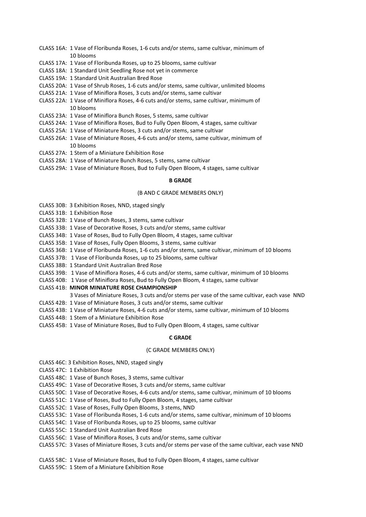- CLASS 16A: 1 Vase of Floribunda Roses, 1-6 cuts and/or stems, same cultivar, minimum of 10 blooms
- CLASS 17A: 1 Vase of Floribunda Roses, up to 25 blooms, same cultivar
- CLASS 18A: 1 Standard Unit Seedling Rose not yet in commerce
- CLASS 19A: 1 Standard Unit Australian Bred Rose
- CLASS 20A: 1 Vase of Shrub Roses, 1-6 cuts and/or stems, same cultivar, unlimited blooms
- CLASS 21A: 1 Vase of Miniflora Roses, 3 cuts and/or stems, same cultivar
- CLASS 22A: 1 Vase of Miniflora Roses, 4-6 cuts and/or stems, same cultivar, minimum of 10 blooms
- CLASS 23A: 1 Vase of Miniflora Bunch Roses, 5 stems, same cultivar
- CLASS 24A: 1 Vase of Miniflora Roses, Bud to Fully Open Bloom, 4 stages, same cultivar
- CLASS 25A: 1 Vase of Miniature Roses, 3 cuts and/or stems, same cultivar
- CLASS 26A: 1 Vase of Miniature Roses, 4-6 cuts and/or stems, same cultivar, minimum of 10 blooms
- CLASS 27A: 1 Stem of a Miniature Exhibition Rose
- CLASS 28A: 1 Vase of Miniature Bunch Roses, 5 stems, same cultivar
- CLASS 29A: 1 Vase of Miniature Roses, Bud to Fully Open Bloom, 4 stages, same cultivar

## **B GRADE**

## (B AND C GRADE MEMBERS ONLY)

- CLASS 30B: 3 Exhibition Roses, NND, staged singly
- CLASS 31B: 1 Exhibition Rose
- CLASS 32B: 1 Vase of Bunch Roses, 3 stems, same cultivar
- CLASS 33B: 1 Vase of Decorative Roses, 3 cuts and/or stems, same cultivar
- CLASS 34B: 1 Vase of Roses, Bud to Fully Open Bloom, 4 stages, same cultivar
- CLASS 35B: 1 Vase of Roses, Fully Open Blooms, 3 stems, same cultivar
- CLASS 36B: 1 Vase of Floribunda Roses, 1-6 cuts and/or stems, same cultivar, minimum of 10 blooms
- CLASS 37B: 1 Vase of Floribunda Roses, up to 25 blooms, same cultivar
- CLASS 38B: 1 Standard Unit Australian Bred Rose
- CLASS 39B: 1 Vase of Miniflora Roses, 4-6 cuts and/or stems, same cultivar, minimum of 10 blooms
- CLASS 40B: 1 Vase of Miniflora Roses, Bud to Fully Open Bloom, 4 stages, same cultivar
- CLASS 41B: **MINOR MINIATURE ROSE CHAMPIONSHIP**
	- 3 Vases of Miniature Roses, 3 cuts and/or stems per vase of the same cultivar, each vase NND
- CLASS 42B: 1 Vase of Miniature Roses, 3 cuts and/or stems, same cultivar
- CLASS 43B: 1 Vase of Miniature Roses, 4-6 cuts and/or stems, same cultivar, minimum of 10 blooms
- CLASS 44B: 1 Stem of a Miniature Exhibition Rose
- CLASS 45B: 1 Vase of Miniature Roses, Bud to Fully Open Bloom, 4 stages, same cultivar

# **C GRADE**

## (C GRADE MEMBERS ONLY)

- CLASS 46C: 3 Exhibition Roses, NND, staged singly
- CLASS 47C: 1 Exhibition Rose
- CLASS 48C: 1 Vase of Bunch Roses, 3 stems, same cultivar
- CLASS 49C: 1 Vase of Decorative Roses, 3 cuts and/or stems, same cultivar
- CLASS 50C: 1 Vase of Decorative Roses, 4-6 cuts and/or stems, same cultivar, minimum of 10 blooms
- CLASS 51C: 1 Vase of Roses, Bud to Fully Open Bloom, 4 stages, same cultivar
- CLASS 52C: 1 Vase of Roses, Fully Open Blooms, 3 stems, NND
- CLASS 53C: 1 Vase of Floribunda Roses, 1-6 cuts and/or stems, same cultivar, minimum of 10 blooms
- CLASS 54C: 1 Vase of Floribunda Roses, up to 25 blooms, same cultivar
- CLASS 55C: 1 Standard Unit Australian Bred Rose
- CLASS 56C: 1 Vase of Miniflora Roses, 3 cuts and/or stems, same cultivar
- CLASS 57C: 3 Vases of Miniature Roses, 3 cuts and/or stems per vase of the same cultivar, each vase NND
- CLASS 58C: 1 Vase of Miniature Roses, Bud to Fully Open Bloom, 4 stages, same cultivar
- CLASS 59C: 1 Stem of a Miniature Exhibition Rose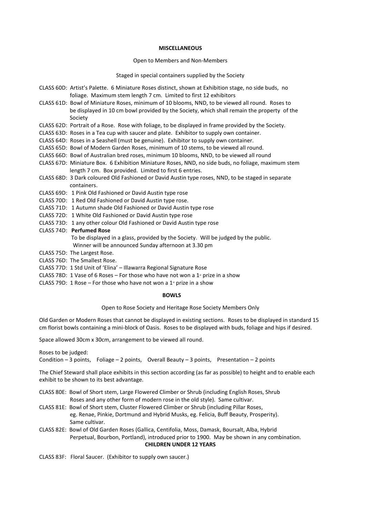#### **MISCELLANEOUS**

#### Open to Members and Non-Members

Staged in special containers supplied by the Society

- CLASS 60D: Artist's Palette. 6 Miniature Roses distinct, shown at Exhibition stage, no side buds, no foliage. Maximum stem length 7 cm. Limited to first 12 exhibitors
- CLASS 61D: Bowl of Miniature Roses, minimum of 10 blooms, NND, to be viewed all round. Roses to be displayed in 10 cm bowl provided by the Society, which shall remain the property of the Society
- CLASS 62D: Portrait of a Rose. Rose with foliage, to be displayed in frame provided by the Society.
- CLASS 63D: Roses in a Tea cup with saucer and plate. Exhibitor to supply own container.
- CLASS 64D: Roses in a Seashell (must be genuine). Exhibitor to supply own container.
- CLASS 65D: Bowl of Modern Garden Roses, minimum of 10 stems, to be viewed all round.
- CLASS 66D: Bowl of Australian bred roses, minimum 10 blooms, NND, to be viewed all round
- CLASS 67D: Miniature Box. 6 Exhibition Miniature Roses, NND, no side buds, no foliage, maximum stem length 7 cm. Box provided. Limited to first 6 entries.
- CLASS 68D: 3 Dark coloured Old Fashioned or David Austin type roses, NND, to be staged in separate \_\_\_\_\_\_\_\_\_\_containers.
- CLASS 69D: 1 Pink Old Fashioned or David Austin type rose
- CLASS 70D: 1 Red Old Fashioned or David Austin type rose.
- CLASS 71D: 1 Autumn shade Old Fashioned or David Austin type rose
- CLASS 72D: 1 White Old Fashioned or David Austin type rose
- CLASS 73D: 1 any other colour Old Fashioned or David Austin type rose

#### CLASS 74D: **Perfumed Rose**

- To be displayed in a glass, provided by the Society. Will be judged by the public. Winner will be announced Sunday afternoon at 3.30 pm
- CLASS 75D: The Largest Rose.
- CLASS 76D: The Smallest Rose.
- CLASS 77D: 1 Std Unit of 'Elina' Illawarra Regional Signature Rose
- CLASS 78D: 1 Vase of 6 Roses For those who have not won a  $1*$  prize in a show
- CLASS 79D: 1 Rose For those who have not won a  $1<sup>*</sup>$  prize in a show

### **BOWLS**

## Open to Rose Society and Heritage Rose Society Members Only

Old Garden or Modern Roses that cannot be displayed in existing sections. Roses to be displayed in standard 15 cm florist bowls containing a mini-block of Oasis. Roses to be displayed with buds, foliage and hips if desired.

Space allowed 30cm x 30cm, arrangement to be viewed all round.

Roses to be judged:

Condition  $-3$  points, Foliage  $-2$  points, Overall Beauty  $-3$  points, Presentation  $-2$  points

The Chief Steward shall place exhibits in this section according (as far as possible) to height and to enable each exhibit to be shown to its best advantage.

- CLASS 80E: Bowl of Short stem, Large Flowered Climber or Shrub (including English Roses, Shrub Roses and any other form of modern rose in the old style). Same cultivar.
- CLASS 81E: Bowl of Short stem, Cluster Flowered Climber or Shrub (including Pillar Roses, eg. Renae, Pinkie, Dortmund and Hybrid Musks, eg. Felicia, Buff Beauty, Prosperity). Same cultivar.
- CLASS 82E: Bowl of Old Garden Roses (Gallica, Centifolia, Moss, Damask, Boursalt, Alba, Hybrid Perpetual, Bourbon, Portland), introduced prior to 1900. May be shown in any combination. **CHILDREN UNDER 12 YEARS**

CLASS 83F: Floral Saucer. (Exhibitor to supply own saucer.)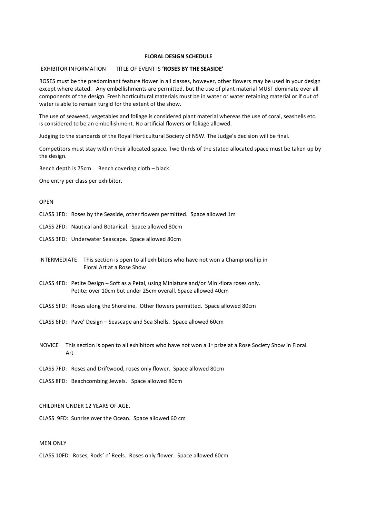## **FLORAL DESIGN SCHEDULE**

#### EXHIBITOR INFORMATION TITLE OF EVENT IS **'ROSES BY THE SEASIDE'**

ROSES must be the predominant feature flower in all classes, however, other flowers may be used in your design except where stated. Any embellishments are permitted, but the use of plant material MUST dominate over all components of the design. Fresh horticultural materials must be in water or water retaining material or if out of water is able to remain turgid for the extent of the show.

The use of seaweed, vegetables and foliage is considered plant material whereas the use of coral, seashells etc. is considered to be an embellishment. No artificial flowers or foliage allowed.

Judging to the standards of the Royal Horticultural Society of NSW. The Judge's decision will be final.

Competitors must stay within their allocated space. Two thirds of the stated allocated space must be taken up by the design.

Bench depth is 75cm Bench covering cloth – black

One entry per class per exhibitor.

## OPEN

CLASS 1FD: Roses by the Seaside, other flowers permitted. Space allowed 1m

CLASS 2FD: Nautical and Botanical. Space allowed 80cm

CLASS 3FD: Underwater Seascape. Space allowed 80cm

INTERMEDIATE This section is open to all exhibitors who have not won a Championship in Floral Art at a Rose Show

- CLASS 4FD: Petite Design Soft as a Petal, using Miniature and/or Mini-flora roses only. Petite: over 10cm but under 25cm overall. Space allowed 40cm
- CLASS 5FD: Roses along the Shoreline. Other flowers permitted. Space allowed 80cm
- CLASS 6FD: Pave' Design Seascape and Sea Shells. Space allowed 60cm
- NOVICE This section is open to all exhibitors who have not won a 1<sup>st</sup> prize at a Rose Society Show in Floral Art

CLASS 7FD: Roses and Driftwood, roses only flower. Space allowed 80cm

CLASS 8FD: Beachcombing Jewels. Space allowed 80cm

## CHILDREN UNDER 12 YEARS OF AGE.

CLASS 9FD: Sunrise over the Ocean. Space allowed 60 cm

# MEN ONLY

CLASS 10FD: Roses, Rods' n' Reels. Roses only flower. Space allowed 60cm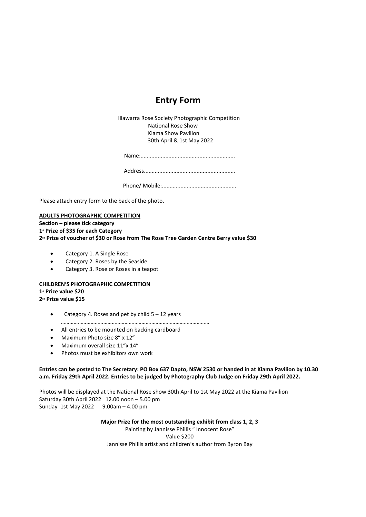# **Entry Form**

Illawarra Rose Society Photographic Competition National Rose Show Kiama Show Pavilion 30th April & 1st May 2022

Name:.............................................................

Address...........................................................

Phone/ Mobile:................................................

Please attach entry form to the back of the photo.

# **ADULTS PHOTOGRAPHIC COMPETITION**

**Section – please tick category**

**1st Prize of \$35 for each Category**

**2nd Prize of voucher of \$30 or Rose from The Rose Tree Garden Centre Berry value \$30**

- Category 1. A Single Rose
- Category 2. Roses by the Seaside
- Category 3. Rose or Roses in a teapot

## **CHILDREN'S PHOTOGRAPHIC COMPETITION**

**1st Prize value \$20 2nd Prize value \$15**

- Category 4. Roses and pet by child  $5 12$  years
- ……………………………………………………………………………………………
- All entries to be mounted on backing cardboard
- Maximum Photo size 8" x 12"
- Maximum overall size 11"x 14"
- Photos must be exhibitors own work

**Entries can be posted to The Secretary: PO Box 637 Dapto, NSW 2530 or handed in at Kiama Pavilion by 10.30 a.m. Friday 29th April 2022. Entries to be judged by Photography Club Judge on Friday 29th April 2022.**

Photos will be displayed at the National Rose show 30th April to 1st May 2022 at the Kiama Pavilion Saturday 30th April 2022 12.00 noon – 5.00 pm Sunday 1st May 2022 9.00am – 4.00 pm

**Major Prize for the most outstanding exhibit from class 1, 2, 3**

Painting by Jannisse Phillis " Innocent Rose" Value \$200 Jannisse Phillis artist and children's author from Byron Bay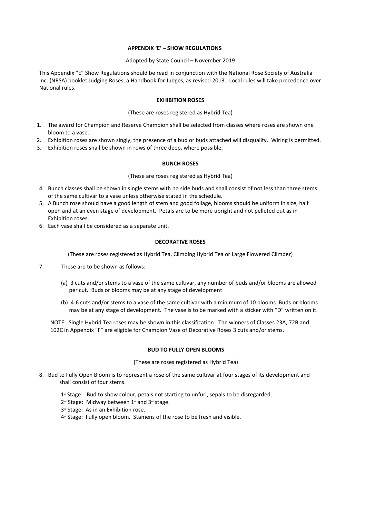## **APPENDIX 'E' – SHOW REGULATIONS**

## Adopted by State Council – November 2019

This Appendix "E" Show Regulations should be read in conjunction with the National Rose Society of Australia Inc. (NRSA) booklet Judging Roses, a Handbook for Judges, as revised 2013. Local rules will take precedence over National rules.

## **EXHIBITION ROSES**

## (These are roses registered as Hybrid Tea)

- 1. The award for Champion and Reserve Champion shall be selected from classes where roses are shown one bloom to a vase.
- 2. Exhibition roses are shown singly, the presence of a bud or buds attached will disqualify. Wiring is permitted.
- 3. Exhibition roses shall be shown in rows of three deep, where possible.

## **BUNCH ROSES**

## (These are roses registered as Hybrid Tea)

- 4. Bunch classes shall be shown in single stems with no side buds and shall consist of not less than three stems of the same cultivar to a vase unless otherwise stated in the schedule.
- 5. A Bunch rose should have a good length of stem and good foliage, blooms should be uniform in size, half open and at an even stage of development. Petals are to be more upright and not pelleted out as in Exhibition roses.
- 6. Each vase shall be considered as a separate unit.

# **DECORATIVE ROSES**

(These are roses registered as Hybrid Tea, Climbing Hybrid Tea or Large Flowered Climber)

- 7. These are to be shown as follows:
	- (a) 3 cuts and/or stems to a vase of the same cultivar, any number of buds and/or blooms are allowed per cut. Buds or blooms may be at any stage of development
	- (b) 4-6 cuts and/or stems to a vase of the same cultivar with a minimum of 10 blooms. Buds or blooms may be at any stage of development. The vase is to be marked with a sticker with "D" written on it.

NOTE: Single Hybrid Tea roses may be shown in this classification. The winners of Classes 23A, 72B and 102C in Appendix "F" are eligible for Champion Vase of Decorative Roses 3 cuts and/or stems.

## **BUD TO FULLY OPEN BLOOMS**

## (These are roses registered as Hybrid Tea)

- 8. Bud to Fully Open Bloom is to represent a rose of the same cultivar at four stages of its development and shall consist of four stems.
	- $1$ <sup>\*</sup> Stage: Bud to show colour, petals not starting to unfurl, sepals to be disregarded.
	- $2^{nd}$  Stage: Midway between  $1^{st}$  and  $3^{rd}$  stage.
	- 3<sup>rd</sup> Stage: As in an Exhibition rose.
	- 4<sup>th</sup> Stage: Fully open bloom. Stamens of the rose to be fresh and visible.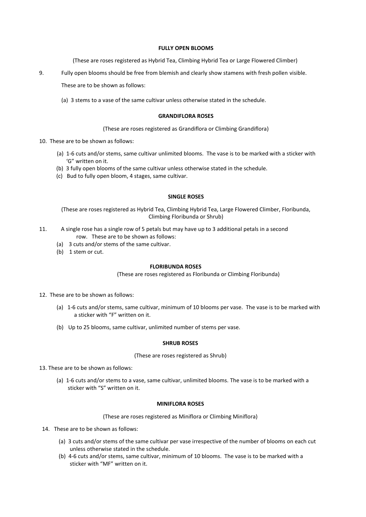## **FULLY OPEN BLOOMS**

(These are roses registered as Hybrid Tea, Climbing Hybrid Tea or Large Flowered Climber)

9. Fully open blooms should be free from blemish and clearly show stamens with fresh pollen visible.

These are to be shown as follows:

(a) 3 stems to a vase of the same cultivar unless otherwise stated in the schedule.

## **GRANDIFLORA ROSES**

(These are roses registered as Grandiflora or Climbing Grandiflora)

- 10. These are to be shown as follows:
	- (a) 1-6 cuts and/or stems, same cultivar unlimited blooms. The vase is to be marked with a sticker with 'G" written on it.
	- (b) 3 fully open blooms of the same cultivar unless otherwise stated in the schedule.
	- (c) Bud to fully open bloom, 4 stages, same cultivar.

## **SINGLE ROSES**

(These are roses registered as Hybrid Tea, Climbing Hybrid Tea, Large Flowered Climber, Floribunda, Climbing Floribunda or Shrub)

- 11. A single rose has a single row of 5 petals but may have up to 3 additional petals in a second row. These are to be shown as follows:
	- (a) 3 cuts and/or stems of the same cultivar.
	- (b) 1 stem or cut.

## **FLORIBUNDA ROSES**

(These are roses registered as Floribunda or Climbing Floribunda)

- 12. These are to be shown as follows:
	- (a) 1-6 cuts and/or stems, same cultivar, minimum of 10 blooms per vase. The vase is to be marked with a sticker with "F" written on it.
	- (b) Up to 25 blooms, same cultivar, unlimited number of stems per vase.

## **SHRUB ROSES**

(These are roses registered as Shrub)

- 13. These are to be shown as follows:
	- (a) 1-6 cuts and/or stems to a vase, same cultivar, unlimited blooms. The vase is to be marked with a sticker with "S" written on it.

# **MINIFLORA ROSES**

(These are roses registered as Miniflora or Climbing Miniflora)

- 14. These are to be shown as follows:
	- (a) 3 cuts and/or stems of the same cultivar per vase irrespective of the number of blooms on each cut unless otherwise stated in the schedule.
	- (b) 4-6 cuts and/or stems, same cultivar, minimum of 10 blooms. The vase is to be marked with a sticker with "MF" written on it.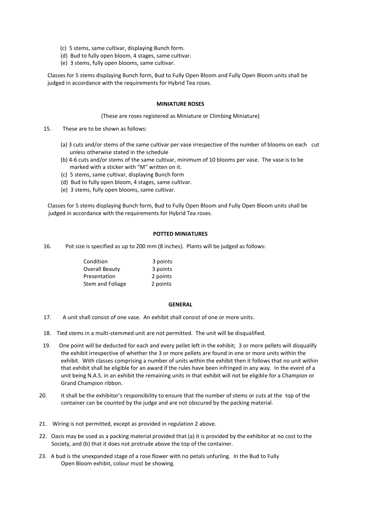- (c) 5 stems, same cultivar, displaying Bunch form.
- (d) Bud to fully open bloom, 4 stages, same cultivar.
- \_\_\_\_\_\_\_(e) 3 stems, fully open blooms, same cultivar.

Classes for 5 stems displaying Bunch form, Bud to Fully Open Bloom and Fully Open Bloom units shall be judged in accordance with the requirements for Hybrid Tea roses.

## **MINIATURE ROSES**

(These are roses registered as Miniature or Climbing Miniature)

- 15. These are to be shown as follows:
	- (a) 3 cuts and/or stems of the same cultivar per vase irrespective of the number of blooms on each cut unless otherwise stated in the schedule
	- (b) 4-6 cuts and/or stems of the same cultivar, minimum of 10 blooms per vase. The vase is to be marked with a sticker with "M" written on it.
	- (c) 5 stems, same cultivar, displaying Bunch form
	- (d) Bud to fully open bloom, 4 stages, same cultivar.
	- (e) 3 stems, fully open blooms, same cultivar.

 Classes for 5 stems displaying Bunch form, Bud to Fully Open Bloom and Fully Open Bloom units shall be judged in accordance with the requirements for Hybrid Tea roses.

## **POTTED MINIATURES**

16. Pot size is specified as up to 200 mm (8 inches). Plants will be judged as follows:

| Condition             | 3 points |
|-----------------------|----------|
| <b>Overall Beauty</b> | 3 points |
| Presentation          | 2 points |
| Stem and Foliage      | 2 points |

## **GENERAL**

- 17. A unit shall consist of one vase. An exhibit shall consist of one or more units.
- 18. Tied stems in a multi-stemmed unit are not permitted. The unit will be disqualified.
- 19. One point will be deducted for each and every pellet left in the exhibit; 3 or more pellets will disqualify the exhibit irrespective of whether the 3 or more pellets are found in one or more units within the exhibit. With classes comprising a number of units within the exhibit then it follows that no unit within that exhibit shall be eligible for an award if the rules have been infringed in any way. In the event of a unit being N.A.S. in an exhibit the remaining units in that exhibit will not be eligible for a Champion or Grand Champion ribbon.
- 20. It shall be the exhibitor's responsibility to ensure that the number of stems or cuts at the top of the container can be counted by the judge and are not obscured by the packing material.
- 21. Wiring is not permitted, except as provided in regulation 2 above.
- 22. Oasis may be used as a packing material provided that (a) it is provided by the exhibitor at no cost to the Society, and (b) that it does not protrude above the top of the container.
- 23. A bud is the unexpanded stage of a rose flower with no petals unfurling. In the Bud to Fully Open Bloom exhibit, colour must be showing.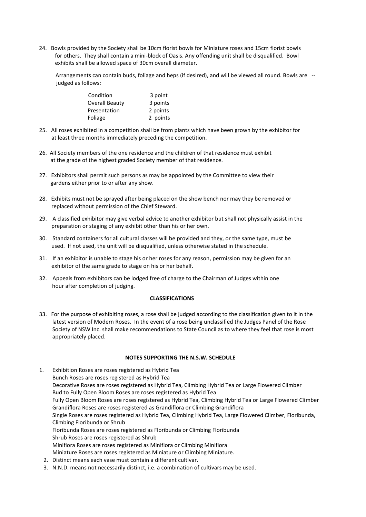24. Bowls provided by the Society shall be 10cm florist bowls for Miniature roses and 15cm florist bowls for others. They shall contain a mini-block of Oasis. Any offending unit shall be disqualified. Bowl exhibits shall be allowed space of 30cm overall diameter.

 Arrangements can contain buds, foliage and heps (if desired), and will be viewed all round. Bowls are - judged as follows:

| Condition      | 3 point  |
|----------------|----------|
| Overall Beauty | 3 points |
| Presentation   | 2 points |
| Foliage        | 2 points |

- 25. All roses exhibited in a competition shall be from plants which have been grown by the exhibitor for at least three months immediately preceding the competition.
- 26. All Society members of the one residence and the children of that residence must exhibit at the grade of the highest graded Society member of that residence.
- 27. Exhibitors shall permit such persons as may be appointed by the Committee to view their gardens either prior to or after any show.
- 28. Exhibits must not be sprayed after being placed on the show bench nor may they be removed or replaced without permission of the Chief Steward.
- 29. A classified exhibitor may give verbal advice to another exhibitor but shall not physically assist in the preparation or staging of any exhibit other than his or her own.
- 30. Standard containers for all cultural classes will be provided and they, or the same type, must be used. If not used, the unit will be disqualified, unless otherwise stated in the schedule.
- 31. If an exhibitor is unable to stage his or her roses for any reason, permission may be given for an exhibitor of the same grade to stage on his or her behalf.
- 32. Appeals from exhibitors can be lodged free of charge to the Chairman of Judges within one hour after completion of judging.

# **CLASSIFICATIONS**

33. For the purpose of exhibiting roses, a rose shall be judged according to the classification given to it in the latest version of Modern Roses. In the event of a rose being unclassified the Judges Panel of the Rose Society of NSW Inc. shall make recommendations to State Council as to where they feel that rose is most appropriately placed.

# **NOTES SUPPORTING THE N.S.W. SCHEDULE**

1. Exhibition Roses are roses registered as Hybrid Tea Bunch Roses are roses registered as Hybrid Tea Decorative Roses are roses registered as Hybrid Tea, Climbing Hybrid Tea or Large Flowered Climber Bud to Fully Open Bloom Roses are roses registered as Hybrid Tea Fully Open Bloom Roses are roses registered as Hybrid Tea, Climbing Hybrid Tea or Large Flowered Climber Grandiflora Roses are roses registered as Grandiflora or Climbing Grandiflora Single Roses are roses registered as Hybrid Tea, Climbing Hybrid Tea, Large Flowered Climber, Floribunda, Climbing Floribunda or Shrub Floribunda Roses are roses registered as Floribunda or Climbing Floribunda Shrub Roses are roses registered as Shrub Miniflora Roses are roses registered as Miniflora or Climbing Miniflora Miniature Roses are roses registered as Miniature or Climbing Miniature. 2. Distinct means each vase must contain a different cultivar.

3. N.N.D. means not necessarily distinct, i.e. a combination of cultivars may be used.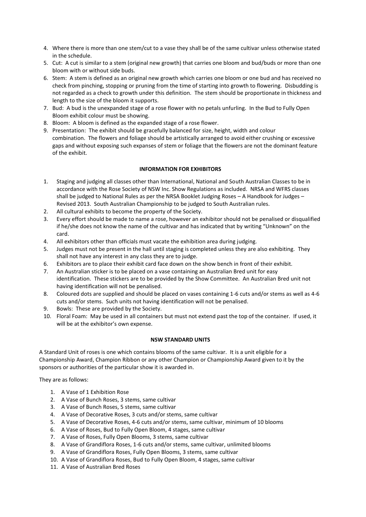- 4. Where there is more than one stem/cut to a vase they shall be of the same cultivar unless otherwise stated in the schedule.
- 5. Cut: A cut is similar to a stem (original new growth) that carries one bloom and bud/buds or more than one bloom with or without side buds.
- 6. Stem: A stem is defined as an original new growth which carries one bloom or one bud and has received no check from pinching, stopping or pruning from the time of starting into growth to flowering. Disbudding is not regarded as a check to growth under this definition. The stem should be proportionate in thickness and length to the size of the bloom it supports.
- 7. Bud: A bud is the unexpanded stage of a rose flower with no petals unfurling. In the Bud to Fully Open Bloom exhibit colour must be showing.
- 8. Bloom: A bloom is defined as the expanded stage of a rose flower.
- 9. Presentation: The exhibit should be gracefully balanced for size, height, width and colour combination. The flowers and foliage should be artistically arranged to avoid either crushing or excessive gaps and without exposing such expanses of stem or foliage that the flowers are not the dominant feature of the exhibit.

# **INFORMATION FOR EXHIBITORS**

- 1. Staging and judging all classes other than International, National and South Australian Classes to be in accordance with the Rose Society of NSW Inc. Show Regulations as included. NRSA and WFRS classes shall be judged to National Rules as per the NRSA Booklet Judging Roses – A Handbook for Judges – Revised 2013. South Australian Championship to be judged to South Australian rules.
- 2. All cultural exhibits to become the property of the Society.
- 3. Every effort should be made to name a rose, however an exhibitor should not be penalised or disqualified if he/she does not know the name of the cultivar and has indicated that by writing "Unknown" on the card.
- 4. All exhibitors other than officials must vacate the exhibition area during judging.
- 5. Judges must not be present in the hall until staging is completed unless they are also exhibiting. They shall not have any interest in any class they are to judge.
- 6. Exhibitors are to place their exhibit card face down on the show bench in front of their exhibit.
- 7. An Australian sticker is to be placed on a vase containing an Australian Bred unit for easy identification. These stickers are to be provided by the Show Committee. An Australian Bred unit not having identification will not be penalised.
- 8. Coloured dots are supplied and should be placed on vases containing 1-6 cuts and/or stems as well as 4-6 cuts and/or stems. Such units not having identification will not be penalised.
- 9. Bowls: These are provided by the Society.
- 10. Floral Foam: May be used in all containers but must not extend past the top of the container. If used, it will be at the exhibitor's own expense.

# **NSW STANDARD UNITS**

A Standard Unit of roses is one which contains blooms of the same cultivar. It is a unit eligible for a Championship Award, Champion Ribbon or any other Champion or Championship Award given to it by the sponsors or authorities of the particular show it is awarded in.

They are as follows:

- 1. A Vase of 1 Exhibition Rose
- 2. A Vase of Bunch Roses, 3 stems, same cultivar
- 3. A Vase of Bunch Roses, 5 stems, same cultivar
- 4. A Vase of Decorative Roses, 3 cuts and/or stems, same cultivar
- 5. A Vase of Decorative Roses, 4-6 cuts and/or stems, same cultivar, minimum of 10 blooms
- 6. A Vase of Roses, Bud to Fully Open Bloom, 4 stages, same cultivar
- 7. A Vase of Roses, Fully Open Blooms, 3 stems, same cultivar
- 8. A Vase of Grandiflora Roses, 1-6 cuts and/or stems, same cultivar, unlimited blooms
- 9. A Vase of Grandiflora Roses, Fully Open Blooms, 3 stems, same cultivar
- 10. A Vase of Grandiflora Roses, Bud to Fully Open Bloom, 4 stages, same cultivar
- 11. A Vase of Australian Bred Roses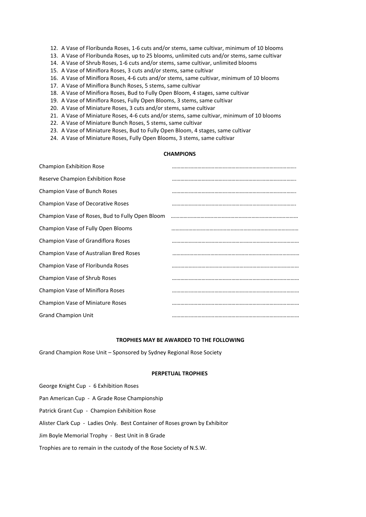- 12. A Vase of Floribunda Roses, 1-6 cuts and/or stems, same cultivar, minimum of 10 blooms
- 13. A Vase of Floribunda Roses, up to 25 blooms, unlimited cuts and/or stems, same cultivar
- 14. A Vase of Shrub Roses, 1-6 cuts and/or stems, same cultivar, unlimited blooms
- 15. A Vase of Miniflora Roses, 3 cuts and/or stems, same cultivar
- 16. A Vase of Miniflora Roses, 4-6 cuts and/or stems, same cultivar, minimum of 10 blooms
- 17. A Vase of Miniflora Bunch Roses, 5 stems, same cultivar
- 18. A Vase of Minifiora Roses, Bud to Fully Open Bloom, 4 stages, same cultivar
- 19. A Vase of Miniflora Roses, Fully Open Blooms, 3 stems, same cultivar
- 20. A Vase of Miniature Roses, 3 cuts and/or stems, same cultivar
- 21. A Vase of Miniature Roses, 4-6 cuts and/or stems, same cultivar, minimum of 10 blooms
- 22. A Vase of Miniature Bunch Roses, 5 stems, same cultivar
- 23. A Vase of Miniature Roses, Bud to Fully Open Bloom, 4 stages, same cultivar
- 24. A Vase of Miniature Roses, Fully Open Blooms, 3 stems, same cultivar

# **CHAMPIONS**

| <b>Champion Exhibition Rose</b>                 |  |
|-------------------------------------------------|--|
| Reserve Champion Exhibition Rose                |  |
| Champion Vase of Bunch Roses                    |  |
| <b>Champion Vase of Decorative Roses</b>        |  |
| Champion Vase of Roses, Bud to Fully Open Bloom |  |
| Champion Vase of Fully Open Blooms              |  |
| Champion Vase of Grandiflora Roses              |  |
| Champion Vase of Australian Bred Roses          |  |
| Champion Vase of Floribunda Roses               |  |
| Champion Vase of Shrub Roses                    |  |
| Champion Vase of Miniflora Roses                |  |
| <b>Champion Vase of Miniature Roses</b>         |  |
| <b>Grand Champion Unit</b>                      |  |

## **TROPHIES MAY BE AWARDED TO THE FOLLOWING**

Grand Champion Rose Unit – Sponsored by Sydney Regional Rose Society

## **PERPETUAL TROPHIES**

George Knight Cup - 6 Exhibition Roses Pan American Cup - A Grade Rose Championship Patrick Grant Cup - Champion Exhibition Rose Alister Clark Cup - Ladies Only. Best Container of Roses grown by Exhibitor Jim Boyle Memorial Trophy - Best Unit in B Grade Trophies are to remain in the custody of the Rose Society of N.S.W.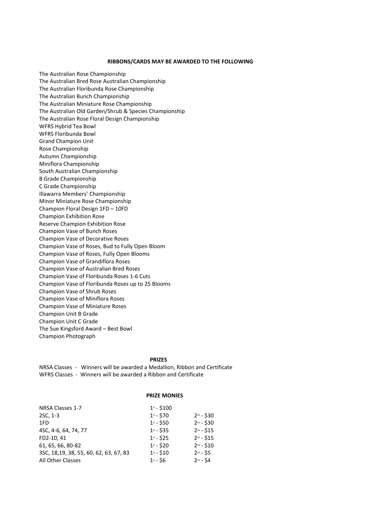#### **RIBBONS/CARDS MAY BE AWARDED TO THE FOLLOWING**

The Australian Rose Championship The Australian Bred Rose Australian Championship The Australian Floribunda Rose Championship The Australian Bunch Championship The Australian Miniature Rose Championship The Australian Old Garden/Shrub & Species Championship The Australian Rose Floral Design Championship WFRS Hybrid Tea Bowl WFRS Floribunda Bowl Grand Champion Unit Rose Championship Autumn Championship Miniflora Championship South Australian Championship B Grade Championship C Grade Championship Illawarra Members' Championship Minor Miniature Rose Championship Champion Floral Design 1FD – 10FD Champion Exhibition Rose Reserve Champion Exhibition Rose Champion Vase of Bunch Roses Champion Vase of Decorative Roses Champion Vase of Roses, Bud to Fully Open Bloom Champion Vase of Roses, Fully Open Blooms Champion Vase of Grandiflora Roses Champion Vase of Australian Bred Roses Champion Vase of Floribunda Roses 1-6 Cuts Champion Vase of Floribunda Roses up to 25 Blooms Champion Vase of Shrub Roses Champion Vase of Miniflora Roses Champion Vase of Miniature Roses Champion Unit B Grade Champion Unit C Grade The Sue Kingsford Award – Best Bowl Champion Photograph

#### **PRIZES**

NRSA Classes - Winners will be awarded a Medallion, Ribbon and Certificate WFRS Classes - Winners will be awarded a Ribbon and Certificate

## **PRIZE MONIES**

| NRSA Classes 1-7                        | $1st - $100$   |                |
|-----------------------------------------|----------------|----------------|
| 2SC, 1-3                                | $1^{st} - $70$ | $2^{nd} - $30$ |
| 1FD                                     | $1^{st} - $50$ | $2^{nd} - $30$ |
| 4SC, 4-6, 64, 74, 77                    | $1^{st} - $35$ | $2^{nd} - $15$ |
| FD2-10, 41                              | $1^{st} - $25$ | $2^{nd} - $15$ |
| 61, 65, 66, 80-82                       | $1^{st} - $20$ | $2^{nd} - $10$ |
| 3SC, 18, 19, 38, 55, 60, 62, 63, 67, 83 | $1^{st} - $10$ | $2^{nd} - 55$  |
| All Other Classes                       | $1^{st} - $6$  | $2^{nd} - $4$  |